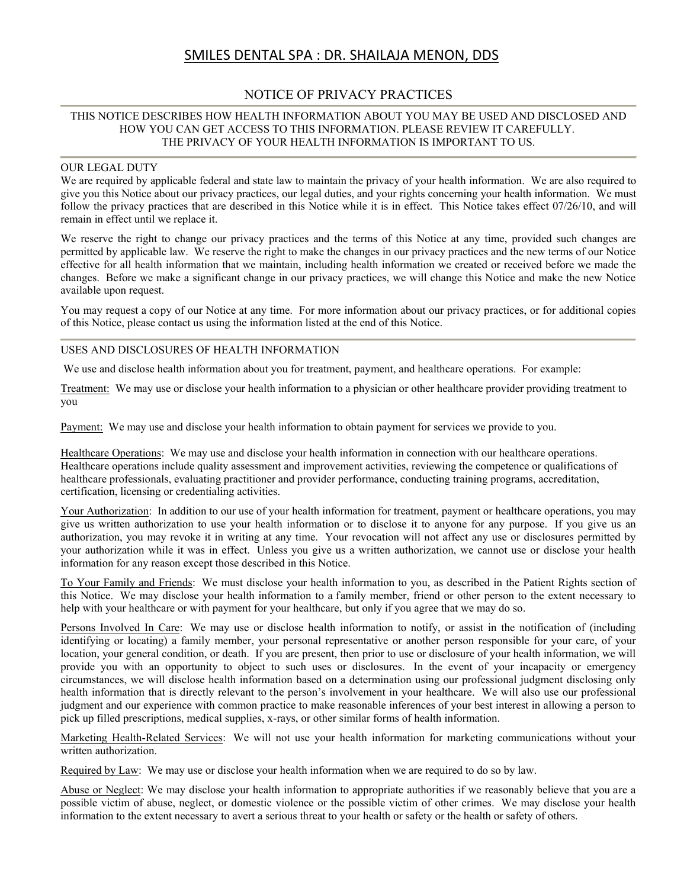# SMILES DENTAL SPA : DR. SHAILAJA MENON, DDS

### NOTICE OF PRIVACY PRACTICES

#### THIS NOTICE DESCRIBES HOW HEALTH INFORMATION ABOUT YOU MAY BE USED AND DISCLOSED AND HOW YOU CAN GET ACCESS TO THIS INFORMATION. PLEASE REVIEW IT CAREFULLY. THE PRIVACY OF YOUR HEALTH INFORMATION IS IMPORTANT TO US.

#### OUR LEGAL DUTY

We are required by applicable federal and state law to maintain the privacy of your health information. We are also required to give you this Notice about our privacy practices, our legal duties, and your rights concerning your health information. We must follow the privacy practices that are described in this Notice while it is in effect. This Notice takes effect 07/26/10, and will remain in effect until we replace it.

We reserve the right to change our privacy practices and the terms of this Notice at any time, provided such changes are permitted by applicable law. We reserve the right to make the changes in our privacy practices and the new terms of our Notice effective for all health information that we maintain, including health information we created or received before we made the changes. Before we make a significant change in our privacy practices, we will change this Notice and make the new Notice available upon request.

You may request a copy of our Notice at any time. For more information about our privacy practices, or for additional copies of this Notice, please contact us using the information listed at the end of this Notice.

#### USES AND DISCLOSURES OF HEALTH INFORMATION

We use and disclose health information about you for treatment, payment, and healthcare operations. For example:

Treatment: We may use or disclose your health information to a physician or other healthcare provider providing treatment to you

Payment: We may use and disclose your health information to obtain payment for services we provide to you.

Healthcare Operations: We may use and disclose your health information in connection with our healthcare operations. Healthcare operations include quality assessment and improvement activities, reviewing the competence or qualifications of healthcare professionals, evaluating practitioner and provider performance, conducting training programs, accreditation, certification, licensing or credentialing activities.

Your Authorization: In addition to our use of your health information for treatment, payment or healthcare operations, you may give us written authorization to use your health information or to disclose it to anyone for any purpose. If you give us an authorization, you may revoke it in writing at any time. Your revocation will not affect any use or disclosures permitted by your authorization while it was in effect. Unless you give us a written authorization, we cannot use or disclose your health information for any reason except those described in this Notice.

To Your Family and Friends: We must disclose your health information to you, as described in the Patient Rights section of this Notice. We may disclose your health information to a family member, friend or other person to the extent necessary to help with your healthcare or with payment for your healthcare, but only if you agree that we may do so.

Persons Involved In Care: We may use or disclose health information to notify, or assist in the notification of (including identifying or locating) a family member, your personal representative or another person responsible for your care, of your location, your general condition, or death. If you are present, then prior to use or disclosure of your health information, we will provide you with an opportunity to object to such uses or disclosures. In the event of your incapacity or emergency circumstances, we will disclose health information based on a determination using our professional judgment disclosing only health information that is directly relevant to the person's involvement in your healthcare. We will also use our professional judgment and our experience with common practice to make reasonable inferences of your best interest in allowing a person to pick up filled prescriptions, medical supplies, x-rays, or other similar forms of health information.

Marketing Health-Related Services: We will not use your health information for marketing communications without your written authorization.

Required by Law: We may use or disclose your health information when we are required to do so by law.

Abuse or Neglect: We may disclose your health information to appropriate authorities if we reasonably believe that you are a possible victim of abuse, neglect, or domestic violence or the possible victim of other crimes. We may disclose your health information to the extent necessary to avert a serious threat to your health or safety or the health or safety of others.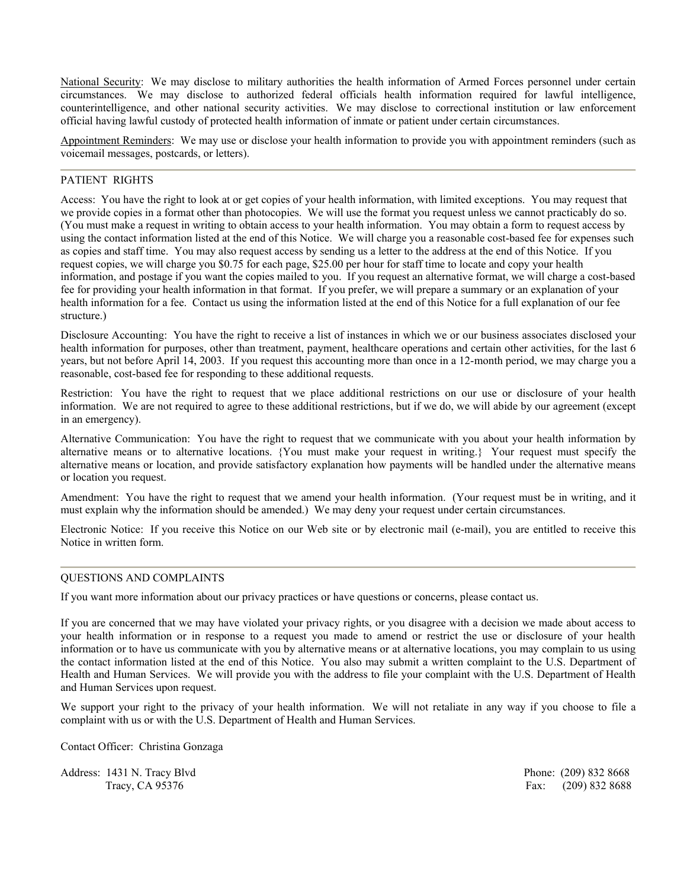National Security: We may disclose to military authorities the health information of Armed Forces personnel under certain circumstances. We may disclose to authorized federal officials health information required for lawful intelligence, counterintelligence, and other national security activities. We may disclose to correctional institution or law enforcement official having lawful custody of protected health information of inmate or patient under certain circumstances.

Appointment Reminders: We may use or disclose your health information to provide you with appointment reminders (such as voicemail messages, postcards, or letters).

#### PATIENT RIGHTS

Access: You have the right to look at or get copies of your health information, with limited exceptions. You may request that we provide copies in a format other than photocopies. We will use the format you request unless we cannot practicably do so. (You must make a request in writing to obtain access to your health information. You may obtain a form to request access by using the contact information listed at the end of this Notice. We will charge you a reasonable cost-based fee for expenses such as copies and staff time. You may also request access by sending us a letter to the address at the end of this Notice. If you request copies, we will charge you \$0.75 for each page, \$25.00 per hour for staff time to locate and copy your health information, and postage if you want the copies mailed to you. If you request an alternative format, we will charge a cost-based fee for providing your health information in that format. If you prefer, we will prepare a summary or an explanation of your health information for a fee. Contact us using the information listed at the end of this Notice for a full explanation of our fee structure.)

Disclosure Accounting: You have the right to receive a list of instances in which we or our business associates disclosed your health information for purposes, other than treatment, payment, healthcare operations and certain other activities, for the last 6 years, but not before April 14, 2003. If you request this accounting more than once in a 12-month period, we may charge you a reasonable, cost-based fee for responding to these additional requests.

Restriction: You have the right to request that we place additional restrictions on our use or disclosure of your health information. We are not required to agree to these additional restrictions, but if we do, we will abide by our agreement (except in an emergency).

Alternative Communication: You have the right to request that we communicate with you about your health information by alternative means or to alternative locations. {You must make your request in writing.} Your request must specify the alternative means or location, and provide satisfactory explanation how payments will be handled under the alternative means or location you request.

Amendment: You have the right to request that we amend your health information. (Your request must be in writing, and it must explain why the information should be amended.) We may deny your request under certain circumstances.

Electronic Notice: If you receive this Notice on our Web site or by electronic mail (e-mail), you are entitled to receive this Notice in written form.

#### QUESTIONS AND COMPLAINTS

If you want more information about our privacy practices or have questions or concerns, please contact us.

If you are concerned that we may have violated your privacy rights, or you disagree with a decision we made about access to your health information or in response to a request you made to amend or restrict the use or disclosure of your health information or to have us communicate with you by alternative means or at alternative locations, you may complain to us using the contact information listed at the end of this Notice. You also may submit a written complaint to the U.S. Department of Health and Human Services. We will provide you with the address to file your complaint with the U.S. Department of Health and Human Services upon request.

We support your right to the privacy of your health information. We will not retaliate in any way if you choose to file a complaint with us or with the U.S. Department of Health and Human Services.

Contact Officer: Christina Gonzaga

Address: 1431 N. Tracy Blvd **Phone: (209) 832 8668** Phone: (209) 832 8668

Tracy, CA 95376 Fax: (209) 832 8688